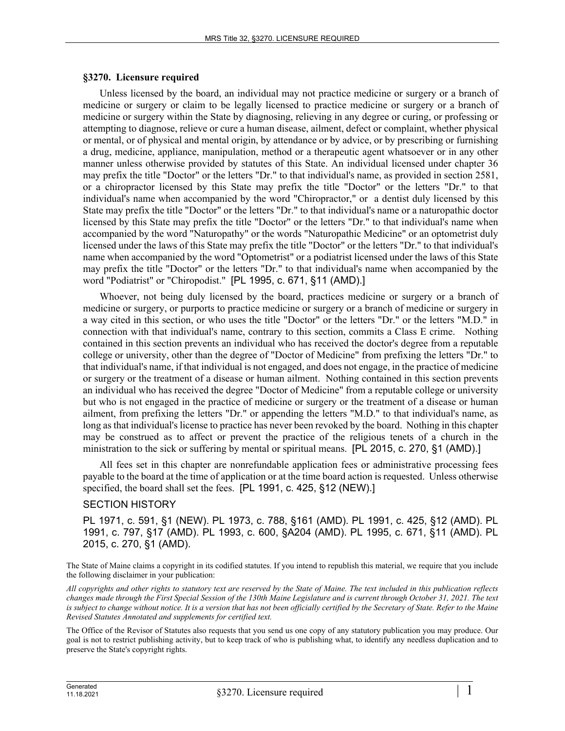## **§3270. Licensure required**

Unless licensed by the board, an individual may not practice medicine or surgery or a branch of medicine or surgery or claim to be legally licensed to practice medicine or surgery or a branch of medicine or surgery within the State by diagnosing, relieving in any degree or curing, or professing or attempting to diagnose, relieve or cure a human disease, ailment, defect or complaint, whether physical or mental, or of physical and mental origin, by attendance or by advice, or by prescribing or furnishing a drug, medicine, appliance, manipulation, method or a therapeutic agent whatsoever or in any other manner unless otherwise provided by statutes of this State. An individual licensed under chapter 36 may prefix the title "Doctor" or the letters "Dr." to that individual's name, as provided in section 2581, or a chiropractor licensed by this State may prefix the title "Doctor" or the letters "Dr." to that individual's name when accompanied by the word "Chiropractor," or a dentist duly licensed by this State may prefix the title "Doctor" or the letters "Dr." to that individual's name or a naturopathic doctor licensed by this State may prefix the title "Doctor" or the letters "Dr." to that individual's name when accompanied by the word "Naturopathy" or the words "Naturopathic Medicine" or an optometrist duly licensed under the laws of this State may prefix the title "Doctor" or the letters "Dr." to that individual's name when accompanied by the word "Optometrist" or a podiatrist licensed under the laws of this State may prefix the title "Doctor" or the letters "Dr." to that individual's name when accompanied by the word "Podiatrist" or "Chiropodist." [PL 1995, c. 671, §11 (AMD).]

Whoever, not being duly licensed by the board, practices medicine or surgery or a branch of medicine or surgery, or purports to practice medicine or surgery or a branch of medicine or surgery in a way cited in this section, or who uses the title "Doctor" or the letters "Dr." or the letters "M.D." in connection with that individual's name, contrary to this section, commits a Class E crime. Nothing contained in this section prevents an individual who has received the doctor's degree from a reputable college or university, other than the degree of "Doctor of Medicine" from prefixing the letters "Dr." to that individual's name, if that individual is not engaged, and does not engage, in the practice of medicine or surgery or the treatment of a disease or human ailment. Nothing contained in this section prevents an individual who has received the degree "Doctor of Medicine" from a reputable college or university but who is not engaged in the practice of medicine or surgery or the treatment of a disease or human ailment, from prefixing the letters "Dr." or appending the letters "M.D." to that individual's name, as long as that individual's license to practice has never been revoked by the board. Nothing in this chapter may be construed as to affect or prevent the practice of the religious tenets of a church in the ministration to the sick or suffering by mental or spiritual means. [PL 2015, c. 270, §1 (AMD).]

All fees set in this chapter are nonrefundable application fees or administrative processing fees payable to the board at the time of application or at the time board action is requested. Unless otherwise specified, the board shall set the fees. [PL 1991, c. 425, §12 (NEW).]

## SECTION HISTORY

PL 1971, c. 591, §1 (NEW). PL 1973, c. 788, §161 (AMD). PL 1991, c. 425, §12 (AMD). PL 1991, c. 797, §17 (AMD). PL 1993, c. 600, §A204 (AMD). PL 1995, c. 671, §11 (AMD). PL 2015, c. 270, §1 (AMD).

The State of Maine claims a copyright in its codified statutes. If you intend to republish this material, we require that you include the following disclaimer in your publication:

*All copyrights and other rights to statutory text are reserved by the State of Maine. The text included in this publication reflects changes made through the First Special Session of the 130th Maine Legislature and is current through October 31, 2021. The text*  is subject to change without notice. It is a version that has not been officially certified by the Secretary of State. Refer to the Maine *Revised Statutes Annotated and supplements for certified text.*

The Office of the Revisor of Statutes also requests that you send us one copy of any statutory publication you may produce. Our goal is not to restrict publishing activity, but to keep track of who is publishing what, to identify any needless duplication and to preserve the State's copyright rights.